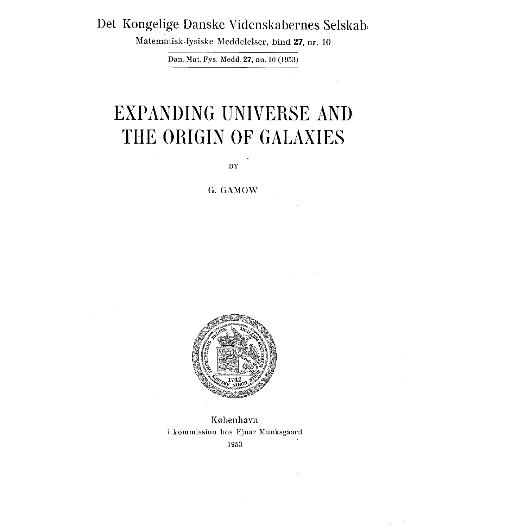## Det Kongelige Danske Videnskabernes Selskab,

Matematisk-fysiske Meddelelser, bind 27, nr . 10

Dan. Mat. Fys. Medd. 27, no. 10 (1953)

## EXPANDING UNIVERSE AND THE ORIGIN OF GALAXIES

BY

## G. GAMOW



København i kommission hos Ejnar Munksgaard 1953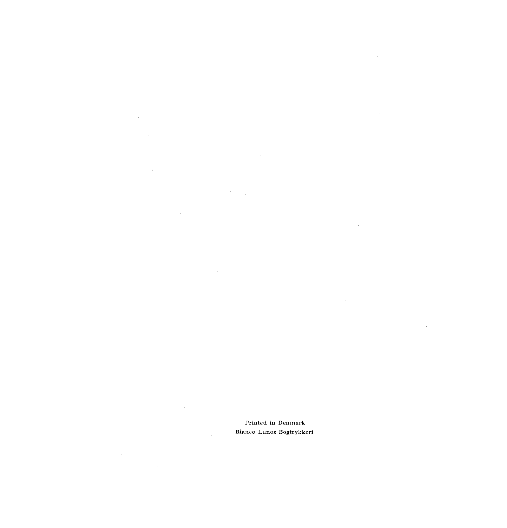Printed in Denmark Bianco Lunos Bogtrykkeri

J.

 $\cdot$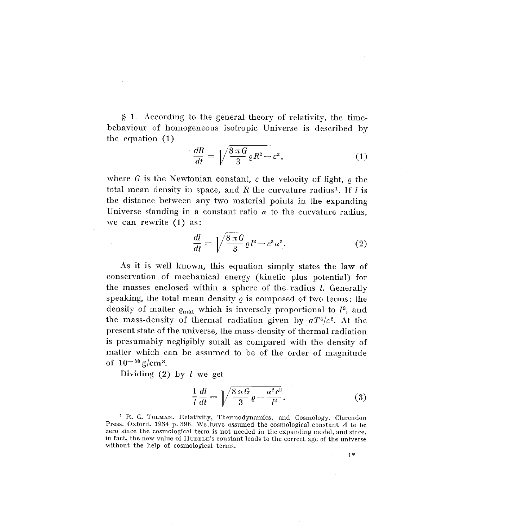<sup>1</sup> . According to the general theory of relativity, the timebehaviour of homogeneous isotropic Universe is described by the equation (1)

$$
\frac{dR}{dt} = \sqrt{\frac{8\,\pi\,G}{3}\,\varrho R^2 - c^2},\tag{1}
$$

where G is the Newtonian constant, c the velocity of light,  $\rho$  the total mean density in space, and *R* the curvature radius<sup>1</sup>. If *l* is the distance between any two material points in the expanding Universe standing in a constant ratio  $\alpha$  to the curvature radius, we can rewrite (1) as:

$$
\frac{dl}{dt} = \sqrt{\frac{8\,\pi\,G}{3}\varrho\,l^2 - c^2\,\alpha^2}.\tag{2}
$$

As it is well known, this equation simply states the law of conservation of mechanical energy (kinetic plus potential) for the masses enclosed within a sphere of the radius  $l$ . Generally speaking, the total mean density  $\varrho$  is composed of two terms: the density of matter  $\varrho_{\text{mat}}$  which is inversely proportional to  $l^3$ , and the mass-density of thermal radiation given by  $aT^4/c^2$ . At the *present state of the universe, the mass-density of thermal radiation* is presumably negligibly small as compared with the density of *matter which can be assumed to be of the order of magnitude of 10- <sup>30</sup> g/cm <sup>3</sup> .*

Dividing  $(2)$  by *l* we get

$$
\frac{1}{l}\frac{dl}{dt} = \left| \sqrt{\frac{8\,\pi\,G}{3}\,\varrho - \frac{\alpha^2\,c^2}{l^2}}.\right| \tag{3}
$$

<sup>1</sup> R. C. TOLMAN. Relativity, Thermodynamics, and Cosmology. Clarendon Press. Oxford. 1934 p. 396. We have assumed the cosmological constant  $\Lambda$  to be zero since the cosmological term is not needed in the expanding model, and since, in fact, the new value of HUBBLE's constant leads to the correct age of the universe without the help of cosmological terms.

1\*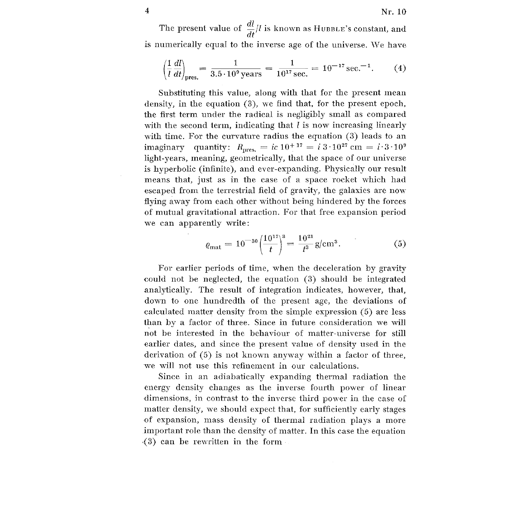The present value of  $\frac{dl}{dt}/l$  is known as HUBBLE's constant, and is numerically equal to the inverse age of the universe . We have

$$
\left(\frac{1}{l}\frac{dl}{dt}\right)_{\text{pres.}} = \frac{1}{3.5 \cdot 10^9 \text{ years}} = \frac{1}{10^{17} \text{ sec.}} = 10^{-17} \text{ sec.}^{-1}.
$$
 (4)

Substituting this value, along with that for the present mean density, in the equation (3), we find that, for the present epoch, the first term under the radical is negligibly small as compared with the second term, indicating that  $l$  is now increasing linearly with time. For the curvature radius the equation (3) leads to an imaginary quantity:  $R_{\text{pres.}} = ic 10^{+17} = i 3 \cdot 10^{27}$  cm =  $i \cdot 3 \cdot 10^{9}$ light-years, meaning, geometrically, that the space of our universe is hyperbolic (infinite), and ever-expanding. Physically our result means that, just as in the case of a space rocket which had escaped from the terrestrial field of gravity, the galaxies are now flying away from each other without being hindered by the forces of mutual gravitational attraction . For that free expansion period we can apparently write:

$$
\varrho_{\text{mat}} = 10^{-30} \left( \frac{10^{17}}{t} \right)^3 = \frac{10^{21}}{t^3} \text{g/cm}^3. \tag{5}
$$

For earlier periods of time, when the deceleration by gravity could not be neglected, the equation (3) should be integrated analytically. The result of integration indicates, however, that, down to one hundredth of the present age, the deviations of calculated matter density from the simple expression (5) are less than by a factor of three. Since in future consideration we will not be interested in the behaviour of matter-universe for still earlier dates, and since the present value of density used in the derivation of (5) is not known anyway within a factor of three, we will not use this refinement in our calculations.

Since in an adiabatically expanding thermal radiation the energy density changes as the inverse fourth power of linear dimensions, in contrast to the inverse third power in the case of matter density, we should expect that, for sufficiently early stages of expansion, mass density of thermal radiation plays a more important role than the density of matter. In this case the equation ,(3) can be rewritten in the form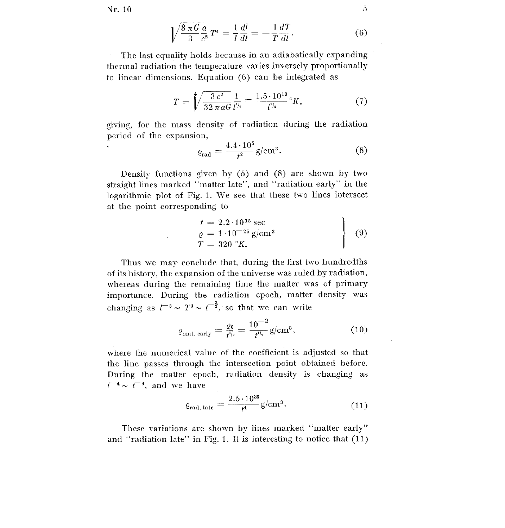$Nr. 10$   $5$ 

$$
\sqrt{\frac{8\,\pi\,G}{3}}\frac{a}{c^2}\,T^4 = \frac{1}{l}\frac{dl}{dt} = -\frac{1}{T}\frac{dT}{dt}.\tag{6}
$$

The last equality holds because in an adiabatically expanding *thermal radiation the temperature varies inversely proportionally* to linear dimensions. Equation  $(6)$  can be integrated as

$$
T = \sqrt[4]{\frac{3 c^2}{32 \pi a G}} \frac{1}{t^{l_2}} = \frac{1.5 \cdot 10^{10}}{t^{l_2}} \, \mathrm{K}, \tag{7}
$$

giving, for the mass density of radiation during the radiation period of the expansion,

$$
\varrho_{\rm rad} = \frac{4.4 \cdot 10^5}{t^2} \, \text{g/cm}^3. \tag{8}
$$

Density functions given by  $(5)$  and  $(8)$  are shown by two straight lines marked "matter late", and "radiation early" in the logarithmic plot of Fig. 1. We see that these two lines intersect at the point corresponding to

$$
t = 2.2 \cdot 10^{15} \text{ sec}
$$
  
\n
$$
\varrho = 1 \cdot 10^{-25} \text{ g/cm}^3
$$
  
\n
$$
T = 320 \text{ }^{\circ}K.
$$
 (9)

Thus we may conclude that, during the first two hundredths of its history, the expansion of the universe was ruled by radiation, whereas during the remaining time the matter was of primary importance. During the radiation epoch, matter density was changing as  $l^{-3} \sim T^3 \sim l^{-\frac{3}{2}}$ , so that we can write

$$
\varrho_{\text{mat. early}} = \frac{\varrho_0}{\dot{t}^{\eta_2}} = \frac{10^{-2}}{t^{\eta_2}} g / \text{cm}^3,\tag{10}
$$

where the numerical value of the coefficient is adjusted so that the line passes through the intersection point obtained before.<br>During the matter epoch, radiation density is changing as  $l^{-4} \sim t^{-4}$ , and we have

$$
\varrho_{\text{rad. late}} = \frac{2.5 \cdot 10^{36}}{t^4} \text{g/cm}^3. \tag{11}
$$

These variations are shown by lines marked "matter early" and "radiation late" in Fig. 1. It is interesting to notice that  $(11)$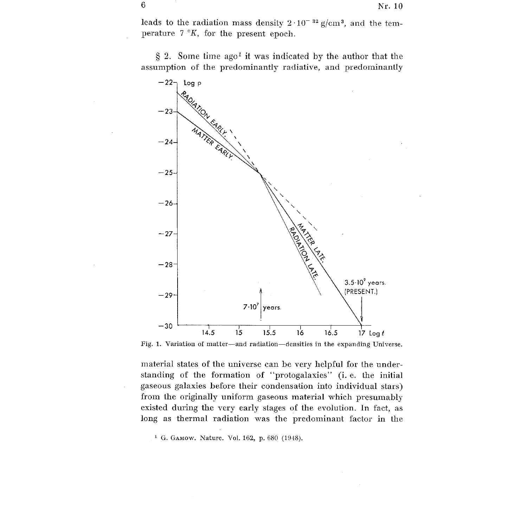leads to the radiation mass density  $2 \cdot 10^{-32}$  g/cm<sup>3</sup>, and the temperature  $7 \, \degree K$ , for the present epoch.

 $\S$  2. Some time ago<sup>1</sup> it was indicated by the author that the assumption of the predominantly radiative, and predominantly



Fig. 1. Variation of matter-and radiation-densities in the expanding Universe.

material states of the universe can be very helpful for the understanding of the formation of "protogalaxies" (i.e. the initial gaseous galaxies before their condensation into individual stars) from the originally uniform gaseous material which presumably existed during the very early stages of the evolution . In fact, as long as thermal radiation was the predominant factor in the

**' G. GAMow. Nature . Vol. 162, p. 680 (1948).**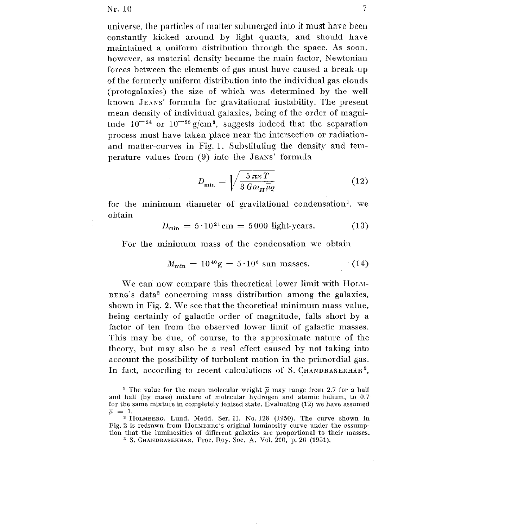$Nr. 10$  7

universe, the particles of matter submerged into it must have been constantly kicked around by light quanta, and should have maintained a uniform distribution through the space . As soon, however, as material density became the main factor, Newtonian forces between the elements of gas must have caused a break-up of the formerly uniform distribution into the individual gas clouds (protogalaxies) the size of which was determined by the well known JEANS' formula for gravitational instability. The present mean density of individual galaxies, being of the order of magnitude  $10^{-24}$  or  $10^{-25}$  g/cm<sup>3</sup>, suggests indeed that the separation process must have taken place near the intersection or radiation and matter-curves in Fig. 1. Substituting the density and temperature values from (9) into the JEANS' formula

$$
D_{\min} = \sqrt{\frac{5 \pi \varkappa T}{3 G m_H \bar{\mu} \varrho}} \tag{12}
$$

for the minimum diameter of gravitational condensation<sup>1</sup>, we obtain

$$
D_{\min} = 5.10^{21} \text{cm} = 5000 \text{ light-years.} \tag{13}
$$

For the minimum mass of the condensation we obtain

$$
M_{\rm min} = 10^{40} \text{g} = 5 \cdot 10^6 \text{ sun masses.} \tag{14}
$$

We can now compare this theoretical lower limit with HoLM- $BERG's data<sup>2</sup> concerning mass distribution among the galaxies,$ shown in Fig. 2. We see that the theoretical minimum mass-value, being certainly of galactic order of magnitude, falls short by a factor of ten from the observed lower limit of galactic masses. This may be due, of course, to the approximate nature of the theory, but may also be a real effect caused by not taking into account the possibility of turbulent motion in the primordial gas. In fact, according to recent calculations of S. CHANDRASEKHAR<sup>3</sup>,

<sup>&</sup>lt;sup>1</sup> The value for the mean molecular weight  $\overline{\mu}$  may range from 2.7 for a half and half (by mass) mixture of molecular hydrogen and atomic helium, to  $0.7$ for the same mixture in completely ionised state . Evaluating (12) we have assumed  $\overline{\mu} = 1$ .

<sup>&</sup>lt;sup>2</sup> HOLMBERG. Lund. Medd. Ser. II. No. 128 (1950). The curve shown in Fig. 2 is redrawn from HOLMBERG's original luminosity curve under the assumption that the luminosities of different galaxies are proportional to their masses .

S . **CHANDRASEKHAR. Proc . Roy. Soc . A. Vol. 210, p. 26 (1951).**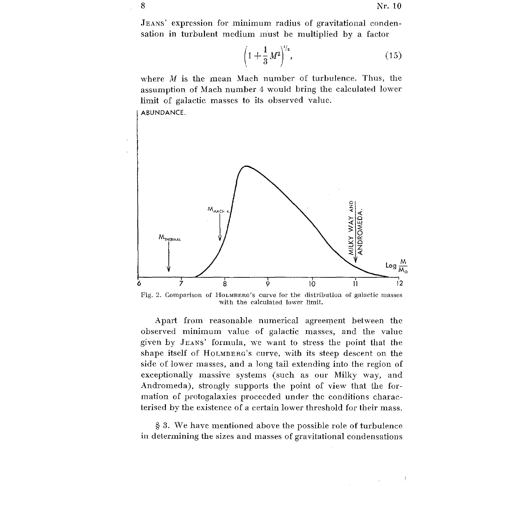$\rightarrow$ 

JEANS' expression for minimum radius of gravitational condensation in turbulent medium must be multiplied by a factor

$$
\left(1+\frac{1}{3}M^2\right)^{\frac{1}{2}},\tag{15}
$$

where *M is the mean Mach number of turbulence. Thus, the* assumption of Mach number 4 would bring the calculated lower *limit of galactic masses to its observed value .* **ABUNDANCE .**



Fig. 2. Comparison of HOLMBERG's curve for the distribution of galactic masses with the calculated lower limit.

Apart from reasonable numerical agreement between the observed minimum value of galactic masses, and the value given by JEANS' formula, we want to stress the point that the shape itself of HOLMBERG's curve, with its steep descent on the side of lower masses, and a long tail extending into the region of exceptionally massive systems (such as our Milky way, and Andromeda), strongly supports the point of view that the for mation of protogalaxies proceeded under the conditions characterised by the existence of a certain lower threshold for their mass .

<sup>3</sup> . We have mentioned above the possible role of turbulenc <sup>e</sup> in determining the sizes and masses of gravitational condensations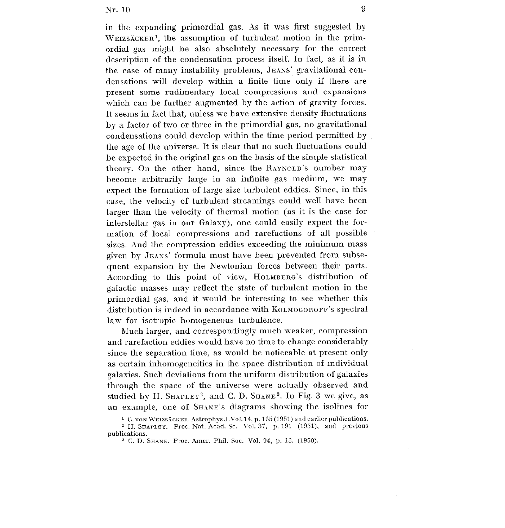in the expanding primordial gas. As it was first suggested by  $W$ EIZSÄCKER<sup>1</sup>, the assumption of turbulent motion in the primordial gas might be also absolutely necessary for the correct description of the condensation process itself. In fact, as it is in the case of many instability problems, JEANS' gravitational condensations will develop within a finite time only if there are present some rudimentary local compressions and expansions which can be further augmented by the action of gravity forces. It seems in fact that, unless we have extensive density fluctuations by a factor of two or three in the primordial gas, no gravitational condensations could develop within the time period permitted by the age of the universe. It is clear that no such fluctuations could be expected in the original gas on the basis of the simple statistical theory. On the other hand, since the RAYNOLD's number may become arbitrarily large in an infinite gas medium, we may expect the formation of large size turbulent eddies. Since, in this case, the velocity of turbulent streamings could well have been larger than the velocity of thermal motion (as it is the case for interstellar gas in our Galaxy), one could easily expect the for mation of local compressions and rarefactions of all possible sizes. And the compression eddies exceeding the minimum mass given by JEANS' formula must have been prevented from subsequent expansion by the Newtonian forces between their parts. According to this point of view, HOLMBERG's distribution of galactic masses may reflect the state of turbulent motion in the primordial gas, and it would be interesting to see whether this distribution is indeed in accordance with KOLMOGOROFF's spectral law for isotropic homogeneous turbulence.

Much larger, and correspondingly much weaker, compression and rarefaction eddies would have no time to change considerably since the separation time, as would be noticeable at present only as certain inhomogeneities in the space distribution of individua l galaxies. Such deviations from the uniform distribution of galaxies through the space of the universe were actually observed and studied by H. SHAPLEY<sup>2</sup>, and C. D. SHANE<sup>3</sup>. In Fig. 3 we give, as an example, one of SHANE's diagrams showing the isolines for

<sup>&</sup>lt;sup>1</sup> C. von WEIZSÄCKER. Astrophys J. Vol. 14, p. 165 (1951) and earlier publications.

<sup>&</sup>lt;sup>2</sup> H. SHAPLEY. Proc. Nat. Acad. Sc. Vol. 37, p. 191 (1951), and previous publications.

<sup>&</sup>lt;sup>3</sup> C. D. SHANE. Proc. Amer. Phil. Soc. Vol. 94, p. 13. (1950).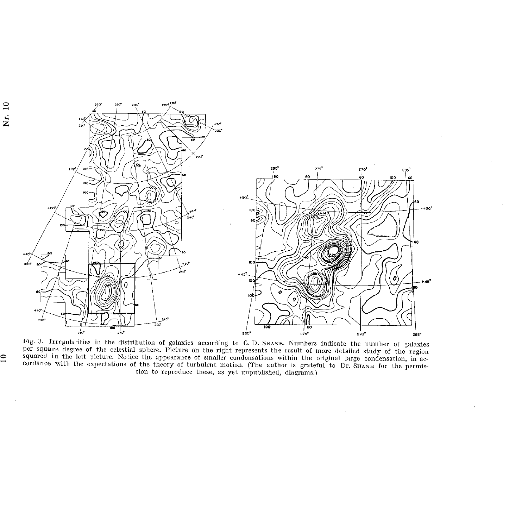

Nr. 10

per square degree of the celestial sphere. Picture on the right represents the result of more detailed study of the region squared in the left picture. Notice the appearance of smaller condensations within the original large condensation, in accordance with the expectations of the theory of turbulent motion. (The author is grateful to Dr. SHANE for the permission to reproduce these, as yet unpublished, diagrams.)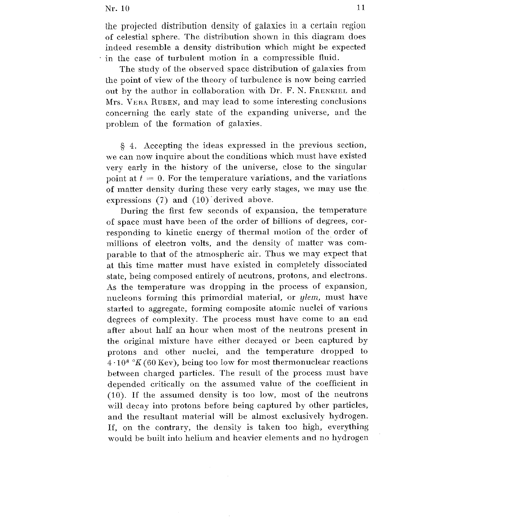the projected distribution density of galaxies in a certain region of celestial sphere . The distribution shown in this diagram does indeed resemble a density distribution which might be expected in the case of turbulent motion in a compressible fluid.

The study of the observed space distribution of galaxies from the point of view of the theory of turbulence is now being carried out by the author in collaboration with Dr . F. N. FRENKIEL and Mrs. VERA RUBEN, and may lead to some interesting conclusions concerning the early state of the expanding universe, and the problem of the formation of galaxies.

§ 4. Accepting the ideas expressed in the previous section , we can now inquire about the conditions which must have existed very early in the history of the universe, close to the singular point at  $t = 0$ . For the temperature variations, and the variations of matter density during these very early stages, we may use the expressions (7) and (10) derived above.

During the first few seconds of expansion, the temperature of space must have been of the order of billions of degrees, cor responding to kinetic energy of thermal motion of the order of millions of electron volts, and the density of matter was comparable to that of the atmospheric air. Thus we may expect that at this time matter must have existed in completely dissociated state, being composed entirely of neutrons, protons, and electrons . As the temperature was dropping in the process of expansion, nucleons forming this primordial material, or glem, must have started to aggregate, forming composite atomic nuclei of various degrees of complexity. The process must have come to an end after about half an hour when most of the neutrons present in the original mixture have either decayed or been captured by protons and other nuclei, and the temperature dropped to  $4 \cdot 10^8$  °K (60 Kev), being too low for most thermonuclear reactions between charged particles. The result of the process must have depended critically on the assumed value of the coefficient in (10) . If the assumed density is too low, most of the neutrons will decay into protons before being captured by other particles, and the resultant material will be almost exclusively hydrogen. If, on the contrary, the density is taken too high, everything would be built into helium and heavier elements and no hydrogen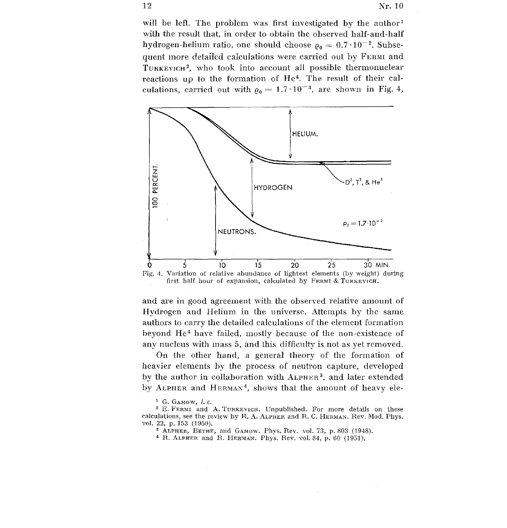will be left. The problem was first investigated by the author<sup>1</sup> with the result that, in order to obtain the observed half-and-half hydrogen-helium ratio, one should choose  $\rho_0 = 0.7 \cdot 10^{-2}$ . Subsequent more detailed calculations were carried out by FERMI and  $T$ URKEVICH<sup>2</sup>, who took into account all possible thermonuclear reactions up to the formation of  $He<sup>4</sup>$ . The result of their calculations, carried out with  $\rho_0 = 1.7 \cdot 10^{-3}$ , are shown in Fig. 4,



and are in good agreement with the observed relative amount of Hydrogen and Helium in the universe. Attempts by the same authors to carry the detailed calculations of the element formation beyond He<sup>4</sup> have failed, mostly because of the non-existence of any nucleus with mass 5, and this difficulty is not as yet removed.

On the other hand, a general theory of the formation of heavier elements by the process of neutron capture, developed by the author in collaboration with ALPHER<sup>3</sup>, and later extended by ALPHER and HERMAN<sup>4</sup>, shows that the amount of heavy ele-

 $1$  G. GAMOW, *l. c.* 

<sup>&</sup>lt;sup>2</sup> E. FERMI and A. TURKEVICH. Unpublished. For more details on these calculations, see the review by R. A. ALPHER and R. C. HERMAN. Rev. Mod. Phys. vol. 22, p. 153 (1950).

<sup>&</sup>lt;sup>8</sup> ALPHER, BETHE, and GAMOW. Phys. Rev. vol. 73, p. 803 (1948).

<sup>&</sup>lt;sup>4</sup> R. ALPHER and R. HERMAN. Phys. Rev. vol. 84, p. 60 (1951).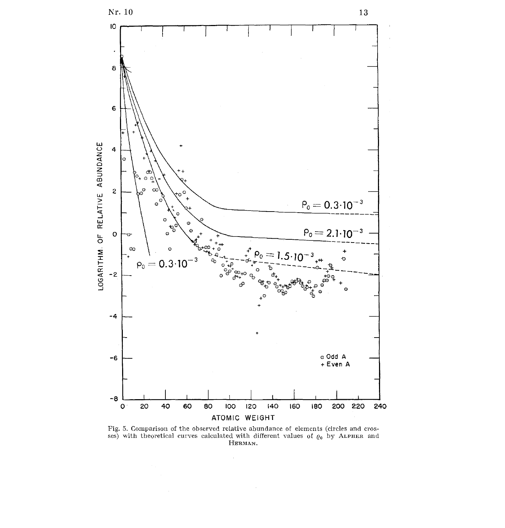

Fig. 5. Comparison of the observed relative abundance of elements (circles and crosses) with theoretical curves calculated with different values of  $\varrho_0$  by ALPHER and HERMAN.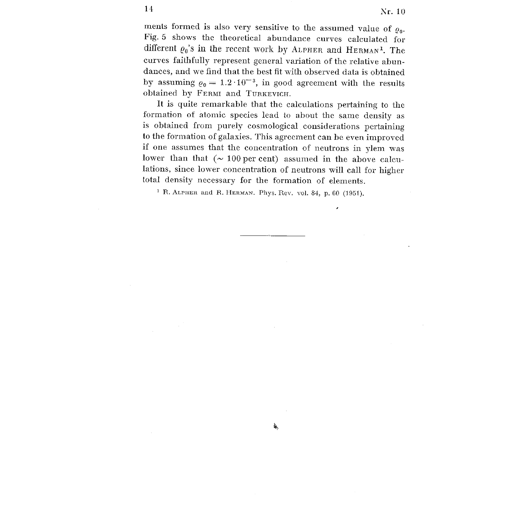ments formed is also very sensitive to the assumed value of  $\varrho_0$ . Fig. 5 shows the theoretical abundance curves calculated for different  $\varrho_0$ 's in the recent work by ALPHER and HERMAN<sup>1</sup>. The curves faithfully represent general variation of the relative abundances, and we find that the best fit with observed data is obtained by assuming  $\varrho_0 = 1.2 \cdot 10^{-3}$ , in good agreement with the results obtained by FERMI and TURKEVICH.

It is quite remarkable that the calculations pertaining to the formation of atomic species lead to about the same density as is obtained from purely cosmological considerations pertaining to the formation of galaxies. This agreement can be even improved if one assumes that the concentration of neutrons in ylem was lower than that  $( \sim 100 \text{ per cent})$  assumed in the above calculations, since lower concentration of neutrons will call for higher total density necessary for the formation of elements.

氡

<sup>1</sup> R. ALPHER and R. HERMAN. Phys. Rev. vol. 84, p. 60 (1951).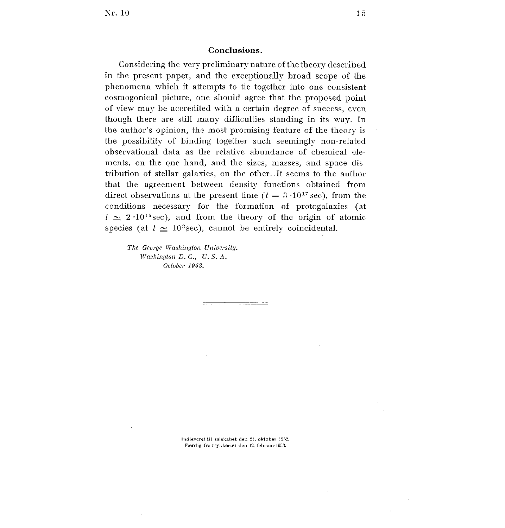## **Conclusions.**

Considering the very preliminary nature of the theory describe d in the present paper, and the exceptionally broad scope of the phenomena which it attempts to tic together into one consistent cosmogonical picture, one should agree that the proposed point of view may be accredited with a certain degree of success, even though there are still many difficulties standing in its way . In the author's opinion, the most promising feature of the theory is the possibility of binding together such seemingly non-related observational data as the relative abundance of chemical elements, on the one hand, and the sizes, masses, and space distribution of stellar galaxies, on the other . It seems to the author that the agreement between density functions obtained from direct observations at the present time ( $t = 3 \cdot 10^{17}$  sec), from the conditions necessary for the formation of protogalaxies (at  $t \approx 2.10^{15}$  sec), and from the theory of the origin of atomic species (at  $t \approx 10^3 \text{sec}$ ), cannot be entirely coincidental.

*The George Washington Universitg . Washington D. C., U. S. A. October 1952 .*

> Indleveret til selskabet den 21 . oktober 1952 . Færdig fra trykkeriet den 12. februar 1953.